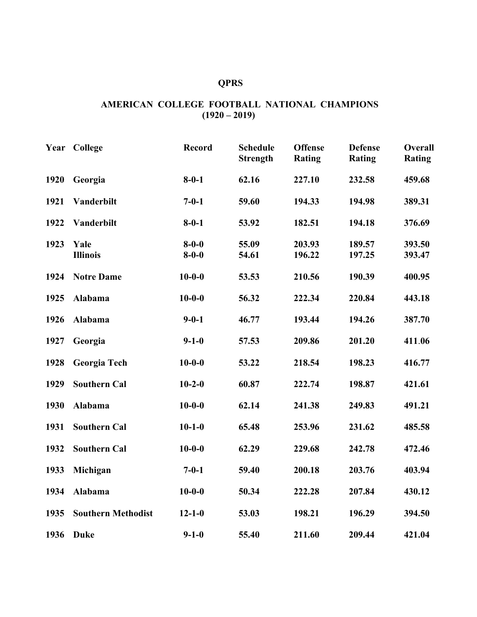## **QPRS**

## **AMERICAN COLLEGE FOOTBALL NATIONAL CHAMPIONS (1920 – 2019)**

| Year | College                   | <b>Record</b>              | <b>Schedule</b><br><b>Strength</b> | <b>Offense</b><br><b>Rating</b> | <b>Defense</b><br><b>Rating</b> | Overall<br><b>Rating</b> |
|------|---------------------------|----------------------------|------------------------------------|---------------------------------|---------------------------------|--------------------------|
| 1920 | Georgia                   | $8 - 0 - 1$                | 62.16                              | 227.10                          | 232.58                          | 459.68                   |
| 1921 | Vanderbilt                | $7 - 0 - 1$                | 59.60                              | 194.33                          | 194.98                          | 389.31                   |
| 1922 | Vanderbilt                | $8 - 0 - 1$                | 53.92                              | 182.51                          | 194.18                          | 376.69                   |
| 1923 | Yale<br><b>Illinois</b>   | $8 - 0 - 0$<br>$8 - 0 - 0$ | 55.09<br>54.61                     | 203.93<br>196.22                | 189.57<br>197.25                | 393.50<br>393.47         |
| 1924 | <b>Notre Dame</b>         | $10-0-0$                   | 53.53                              | 210.56                          | 190.39                          | 400.95                   |
| 1925 | Alabama                   | $10 - 0 - 0$               | 56.32                              | 222.34                          | 220.84                          | 443.18                   |
| 1926 | Alabama                   | $9 - 0 - 1$                | 46.77                              | 193.44                          | 194.26                          | 387.70                   |
| 1927 | Georgia                   | $9 - 1 - 0$                | 57.53                              | 209.86                          | 201.20                          | 411.06                   |
| 1928 | Georgia Tech              | $10-0-0$                   | 53.22                              | 218.54                          | 198.23                          | 416.77                   |
| 1929 | <b>Southern Cal</b>       | $10 - 2 - 0$               | 60.87                              | 222.74                          | 198.87                          | 421.61                   |
| 1930 | Alabama                   | $10 - 0 - 0$               | 62.14                              | 241.38                          | 249.83                          | 491.21                   |
| 1931 | <b>Southern Cal</b>       | $10 - 1 - 0$               | 65.48                              | 253.96                          | 231.62                          | 485.58                   |
| 1932 | <b>Southern Cal</b>       | $10 - 0 - 0$               | 62.29                              | 229.68                          | 242.78                          | 472.46                   |
| 1933 | Michigan                  | $7 - 0 - 1$                | 59.40                              | 200.18                          | 203.76                          | 403.94                   |
| 1934 | Alabama                   | $10 - 0 - 0$               | 50.34                              | 222.28                          | 207.84                          | 430.12                   |
| 1935 | <b>Southern Methodist</b> | $12 - 1 - 0$               | 53.03                              | 198.21                          | 196.29                          | 394.50                   |
| 1936 | <b>Duke</b>               | $9 - 1 - 0$                | 55.40                              | 211.60                          | 209.44                          | 421.04                   |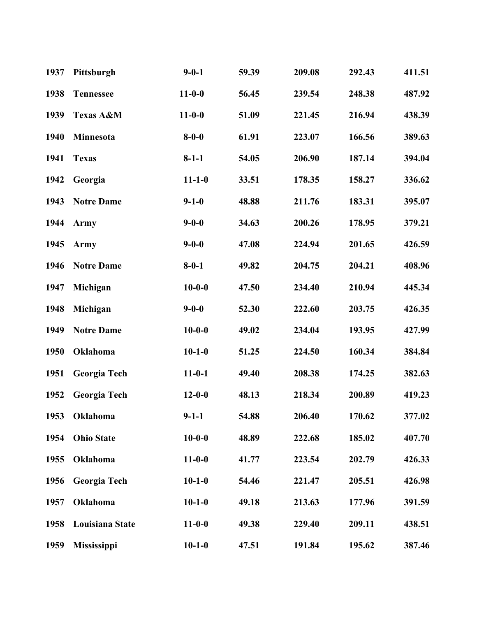| 1937 | Pittsburgh         | $9 - 0 - 1$  | 59.39 | 209.08 | 292.43 | 411.51 |
|------|--------------------|--------------|-------|--------|--------|--------|
| 1938 | <b>Tennessee</b>   | $11 - 0 - 0$ | 56.45 | 239.54 | 248.38 | 487.92 |
| 1939 | Texas A&M          | $11 - 0 - 0$ | 51.09 | 221.45 | 216.94 | 438.39 |
| 1940 | Minnesota          | $8 - 0 - 0$  | 61.91 | 223.07 | 166.56 | 389.63 |
| 1941 | <b>Texas</b>       | $8-1-1$      | 54.05 | 206.90 | 187.14 | 394.04 |
| 1942 | Georgia            | $11 - 1 - 0$ | 33.51 | 178.35 | 158.27 | 336.62 |
| 1943 | <b>Notre Dame</b>  | $9 - 1 - 0$  | 48.88 | 211.76 | 183.31 | 395.07 |
| 1944 | <b>Army</b>        | $9 - 0 - 0$  | 34.63 | 200.26 | 178.95 | 379.21 |
| 1945 | <b>Army</b>        | $9 - 0 - 0$  | 47.08 | 224.94 | 201.65 | 426.59 |
| 1946 | <b>Notre Dame</b>  | $8 - 0 - 1$  | 49.82 | 204.75 | 204.21 | 408.96 |
| 1947 | Michigan           | $10 - 0 - 0$ | 47.50 | 234.40 | 210.94 | 445.34 |
| 1948 | Michigan           | $9 - 0 - 0$  | 52.30 | 222.60 | 203.75 | 426.35 |
| 1949 | <b>Notre Dame</b>  | $10 - 0 - 0$ | 49.02 | 234.04 | 193.95 | 427.99 |
| 1950 | Oklahoma           | $10 - 1 - 0$ | 51.25 | 224.50 | 160.34 | 384.84 |
| 1951 | Georgia Tech       | $11 - 0 - 1$ | 49.40 | 208.38 | 174.25 | 382.63 |
| 1952 | Georgia Tech       | $12 - 0 - 0$ | 48.13 | 218.34 | 200.89 | 419.23 |
| 1953 | Oklahoma           | $9 - 1 - 1$  | 54.88 | 206.40 | 170.62 | 377.02 |
| 1954 | <b>Ohio State</b>  | $10-0-0$     | 48.89 | 222.68 | 185.02 | 407.70 |
| 1955 | Oklahoma           | $11-0-0$     | 41.77 | 223.54 | 202.79 | 426.33 |
| 1956 | Georgia Tech       | $10-1-0$     | 54.46 | 221.47 | 205.51 | 426.98 |
| 1957 | Oklahoma           | $10-1-0$     | 49.18 | 213.63 | 177.96 | 391.59 |
| 1958 | Louisiana State    | $11-0-0$     | 49.38 | 229.40 | 209.11 | 438.51 |
| 1959 | <b>Mississippi</b> | $10-1-0$     | 47.51 | 191.84 | 195.62 | 387.46 |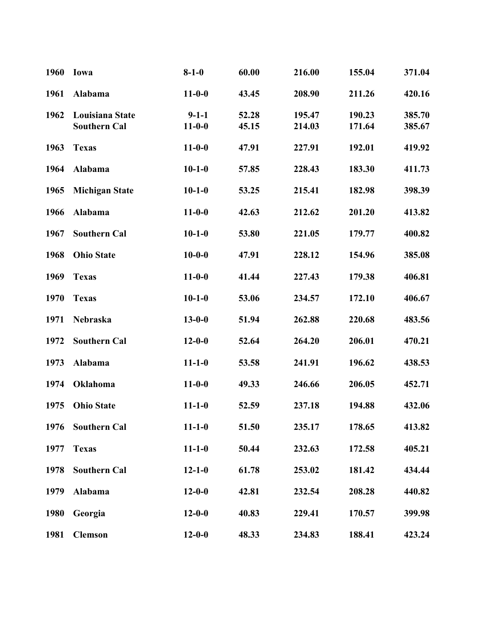| 1960 | Iowa                                   | $8 - 1 - 0$                 | 60.00          | 216.00           | 155.04           | 371.04           |
|------|----------------------------------------|-----------------------------|----------------|------------------|------------------|------------------|
| 1961 | Alabama                                | $11 - 0 - 0$                | 43.45          | 208.90           | 211.26           | 420.16           |
| 1962 | Louisiana State<br><b>Southern Cal</b> | $9 - 1 - 1$<br>$11 - 0 - 0$ | 52.28<br>45.15 | 195.47<br>214.03 | 190.23<br>171.64 | 385.70<br>385.67 |
| 1963 | <b>Texas</b>                           | $11 - 0 - 0$                | 47.91          | 227.91           | 192.01           | 419.92           |
| 1964 | Alabama                                | $10 - 1 - 0$                | 57.85          | 228.43           | 183.30           | 411.73           |
| 1965 | <b>Michigan State</b>                  | $10 - 1 - 0$                | 53.25          | 215.41           | 182.98           | 398.39           |
| 1966 | Alabama                                | $11 - 0 - 0$                | 42.63          | 212.62           | 201.20           | 413.82           |
| 1967 | <b>Southern Cal</b>                    | $10 - 1 - 0$                | 53.80          | 221.05           | 179.77           | 400.82           |
| 1968 | <b>Ohio State</b>                      | $10 - 0 - 0$                | 47.91          | 228.12           | 154.96           | 385.08           |
| 1969 | <b>Texas</b>                           | $11 - 0 - 0$                | 41.44          | 227.43           | 179.38           | 406.81           |
| 1970 | <b>Texas</b>                           | $10 - 1 - 0$                | 53.06          | 234.57           | 172.10           | 406.67           |
| 1971 | Nebraska                               | $13 - 0 - 0$                | 51.94          | 262.88           | 220.68           | 483.56           |
| 1972 | <b>Southern Cal</b>                    | $12 - 0 - 0$                | 52.64          | 264.20           | 206.01           | 470.21           |
| 1973 | Alabama                                | $11 - 1 - 0$                | 53.58          | 241.91           | 196.62           | 438.53           |
| 1974 | Oklahoma                               | $11 - 0 - 0$                | 49.33          | 246.66           | 206.05           | 452.71           |
| 1975 | <b>Ohio State</b>                      | $11 - 1 - 0$                | 52.59          | 237.18           | 194.88           | 432.06           |
| 1976 | <b>Southern Cal</b>                    | $11 - 1 - 0$                | 51.50          | 235.17           | 178.65           | 413.82           |
| 1977 | <b>Texas</b>                           | $11 - 1 - 0$                | 50.44          | 232.63           | 172.58           | 405.21           |
| 1978 | <b>Southern Cal</b>                    | $12 - 1 - 0$                | 61.78          | 253.02           | 181.42           | 434.44           |
| 1979 | Alabama                                | $12 - 0 - 0$                | 42.81          | 232.54           | 208.28           | 440.82           |
| 1980 | Georgia                                | $12 - 0 - 0$                | 40.83          | 229.41           | 170.57           | 399.98           |
| 1981 | <b>Clemson</b>                         | $12 - 0 - 0$                | 48.33          | 234.83           | 188.41           | 423.24           |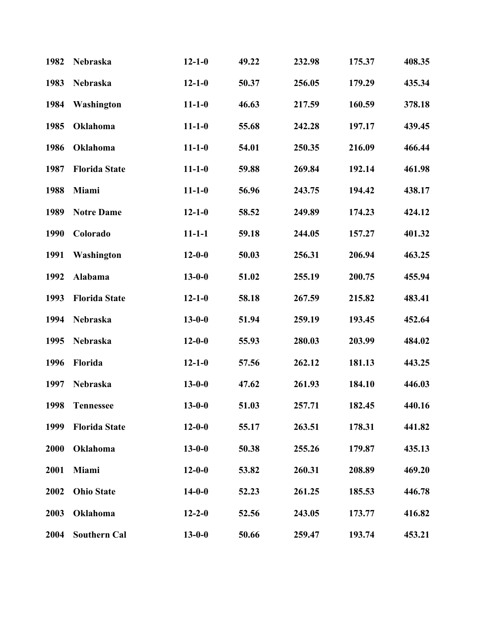| 1982        | Nebraska             | $12 - 1 - 0$ | 49.22 | 232.98 | 175.37 | 408.35 |
|-------------|----------------------|--------------|-------|--------|--------|--------|
| 1983        | Nebraska             | $12 - 1 - 0$ | 50.37 | 256.05 | 179.29 | 435.34 |
| 1984        | Washington           | $11 - 1 - 0$ | 46.63 | 217.59 | 160.59 | 378.18 |
| 1985        | Oklahoma             | $11 - 1 - 0$ | 55.68 | 242.28 | 197.17 | 439.45 |
| 1986        | Oklahoma             | $11 - 1 - 0$ | 54.01 | 250.35 | 216.09 | 466.44 |
| 1987        | <b>Florida State</b> | $11 - 1 - 0$ | 59.88 | 269.84 | 192.14 | 461.98 |
| 1988        | Miami                | $11 - 1 - 0$ | 56.96 | 243.75 | 194.42 | 438.17 |
| 1989        | <b>Notre Dame</b>    | $12 - 1 - 0$ | 58.52 | 249.89 | 174.23 | 424.12 |
| 1990        | Colorado             | $11 - 1 - 1$ | 59.18 | 244.05 | 157.27 | 401.32 |
| 1991        | Washington           | $12 - 0 - 0$ | 50.03 | 256.31 | 206.94 | 463.25 |
| 1992        | Alabama              | $13 - 0 - 0$ | 51.02 | 255.19 | 200.75 | 455.94 |
| 1993        | <b>Florida State</b> | $12 - 1 - 0$ | 58.18 | 267.59 | 215.82 | 483.41 |
| 1994        | Nebraska             | $13 - 0 - 0$ | 51.94 | 259.19 | 193.45 | 452.64 |
| 1995        | Nebraska             | $12 - 0 - 0$ | 55.93 | 280.03 | 203.99 | 484.02 |
| 1996        | Florida              | $12 - 1 - 0$ | 57.56 | 262.12 | 181.13 | 443.25 |
| 1997        | Nebraska             | $13 - 0 - 0$ | 47.62 | 261.93 | 184.10 | 446.03 |
| 1998        | <b>Tennessee</b>     | $13 - 0 - 0$ | 51.03 | 257.71 | 182.45 | 440.16 |
| 1999        | <b>Florida State</b> | $12 - 0 - 0$ | 55.17 | 263.51 | 178.31 | 441.82 |
| <b>2000</b> | Oklahoma             | $13 - 0 - 0$ | 50.38 | 255.26 | 179.87 | 435.13 |
| 2001        | Miami                | $12 - 0 - 0$ | 53.82 | 260.31 | 208.89 | 469.20 |
| 2002        | <b>Ohio State</b>    | $14 - 0 - 0$ | 52.23 | 261.25 | 185.53 | 446.78 |
| 2003        | Oklahoma             | $12 - 2 - 0$ | 52.56 | 243.05 | 173.77 | 416.82 |
| 2004        | <b>Southern Cal</b>  | $13 - 0 - 0$ | 50.66 | 259.47 | 193.74 | 453.21 |